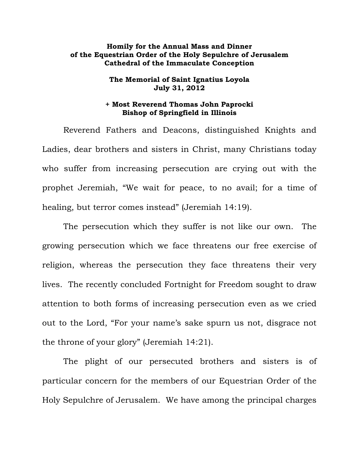## **Homily for the Annual Mass and Dinner of the Equestrian Order of the Holy Sepulchre of Jerusalem Cathedral of the Immaculate Conception**

## **The Memorial of Saint Ignatius Loyola July 31, 2012**

## **+ Most Reverend Thomas John Paprocki Bishop of Springfield in Illinois**

 Reverend Fathers and Deacons, distinguished Knights and Ladies, dear brothers and sisters in Christ, many Christians today who suffer from increasing persecution are crying out with the prophet Jeremiah, "We wait for peace, to no avail; for a time of healing, but terror comes instead" (Jeremiah 14:19).

 The persecution which they suffer is not like our own. The growing persecution which we face threatens our free exercise of religion, whereas the persecution they face threatens their very lives. The recently concluded Fortnight for Freedom sought to draw attention to both forms of increasing persecution even as we cried out to the Lord, "For your name's sake spurn us not, disgrace not the throne of your glory" (Jeremiah 14:21).

The plight of our persecuted brothers and sisters is of particular concern for the members of our Equestrian Order of the Holy Sepulchre of Jerusalem. We have among the principal charges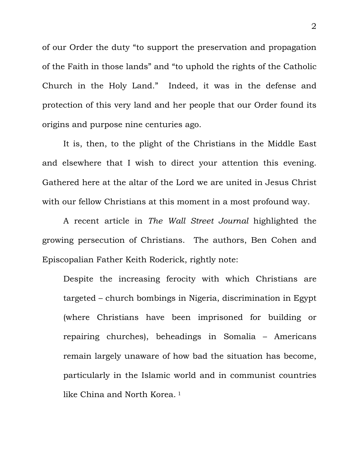of our Order the duty "to support the preservation and propagation of the Faith in those lands" and "to uphold the rights of the Catholic Church in the Holy Land." Indeed, it was in the defense and protection of this very land and her people that our Order found its origins and purpose nine centuries ago.

 It is, then, to the plight of the Christians in the Middle East and elsewhere that I wish to direct your attention this evening. Gathered here at the altar of the Lord we are united in Jesus Christ with our fellow Christians at this moment in a most profound way.

 A recent article in *The Wall Street Journal* highlighted the growing persecution of Christians. The authors, Ben Cohen and Episcopalian Father Keith Roderick, rightly note:

Despite the increasing ferocity with which Christians are targeted – church bombings in Nigeria, discrimination in Egypt (where Christians have been imprisoned for building or repairing churches), beheadings in Somalia – Americans remain largely unaware of how bad the situation has become, particularly in the Islamic world and in communist countries like China and North Korea.<sup>1</sup>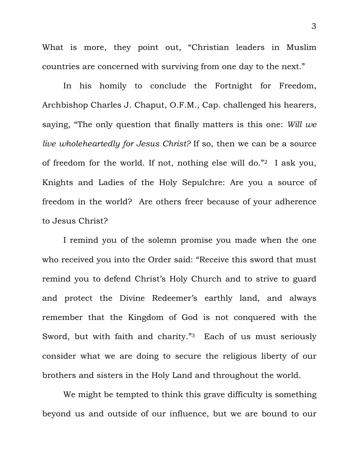What is more, they point out, "Christian leaders in Muslim countries are concerned with surviving from one day to the next."

 In his homily to conclude the Fortnight for Freedom, Archbishop Charles J. Chaput, O.F.M., Cap. challenged his hearers, saying, "The only question that finally matters is this one: *Will we live wholeheartedly for Jesus Christ?* If so, then we can be a source of freedom for the world. If not, nothing else will do."2 I ask you, Knights and Ladies of the Holy Sepulchre: Are you a source of freedom in the world? Are others freer because of your adherence to Jesus Christ?

 I remind you of the solemn promise you made when the one who received you into the Order said: "Receive this sword that must remind you to defend Christ's Holy Church and to strive to guard and protect the Divine Redeemer's earthly land, and always remember that the Kingdom of God is not conquered with the Sword, but with faith and charity."3 Each of us must seriously consider what we are doing to secure the religious liberty of our brothers and sisters in the Holy Land and throughout the world.

 We might be tempted to think this grave difficulty is something beyond us and outside of our influence, but we are bound to our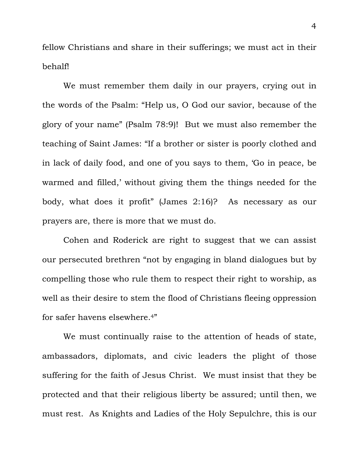fellow Christians and share in their sufferings; we must act in their behalf!

 We must remember them daily in our prayers, crying out in the words of the Psalm: "Help us, O God our savior, because of the glory of your name" (Psalm 78:9)! But we must also remember the teaching of Saint James: "If a brother or sister is poorly clothed and in lack of daily food, and one of you says to them, 'Go in peace, be warmed and filled,' without giving them the things needed for the body, what does it profit" (James 2:16)? As necessary as our prayers are, there is more that we must do.

 Cohen and Roderick are right to suggest that we can assist our persecuted brethren "not by engaging in bland dialogues but by compelling those who rule them to respect their right to worship, as well as their desire to stem the flood of Christians fleeing oppression for safer havens elsewhere.4"

 We must continually raise to the attention of heads of state, ambassadors, diplomats, and civic leaders the plight of those suffering for the faith of Jesus Christ. We must insist that they be protected and that their religious liberty be assured; until then, we must rest. As Knights and Ladies of the Holy Sepulchre, this is our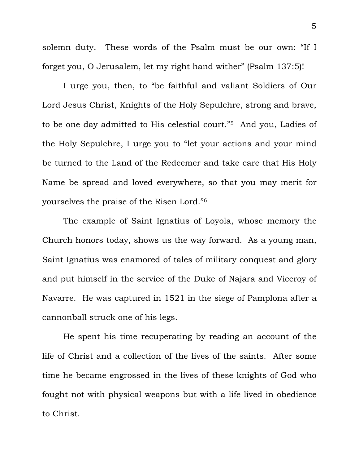solemn duty. These words of the Psalm must be our own: "If I forget you, O Jerusalem, let my right hand wither" (Psalm 137:5)!

 I urge you, then, to "be faithful and valiant Soldiers of Our Lord Jesus Christ, Knights of the Holy Sepulchre, strong and brave, to be one day admitted to His celestial court."5 And you, Ladies of the Holy Sepulchre, I urge you to "let your actions and your mind be turned to the Land of the Redeemer and take care that His Holy Name be spread and loved everywhere, so that you may merit for yourselves the praise of the Risen Lord."6

 The example of Saint Ignatius of Loyola, whose memory the Church honors today, shows us the way forward. As a young man, Saint Ignatius was enamored of tales of military conquest and glory and put himself in the service of the Duke of Najara and Viceroy of Navarre. He was captured in 1521 in the siege of Pamplona after a cannonball struck one of his legs.

 He spent his time recuperating by reading an account of the life of Christ and a collection of the lives of the saints. After some time he became engrossed in the lives of these knights of God who fought not with physical weapons but with a life lived in obedience to Christ.